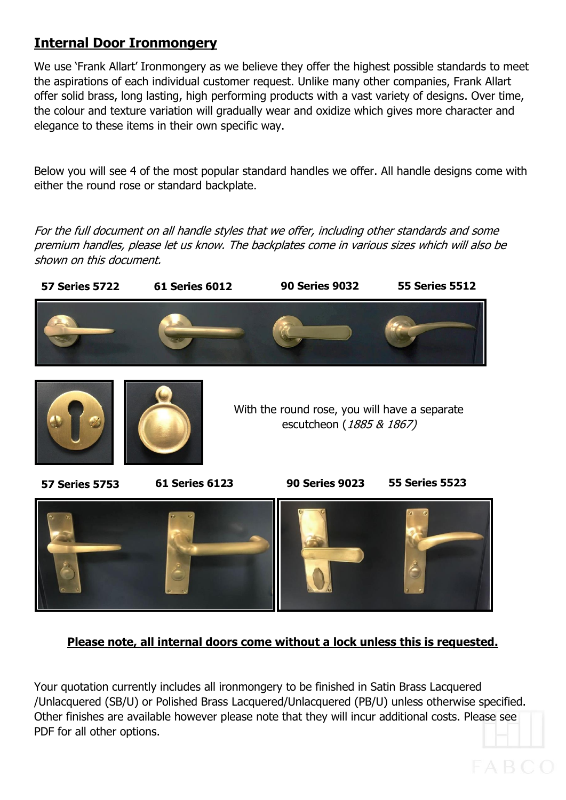# **Internal Door Ironmongery**

We use 'Frank Allart' Ironmongery as we believe they offer the highest possible standards to meet the aspirations of each individual customer request. Unlike many other companies, Frank Allart offer solid brass, long lasting, high performing products with a vast variety of designs. Over time, the colour and texture variation will gradually wear and oxidize which gives more character and elegance to these items in their own specific way.

Below you will see 4 of the most popular standard handles we offer. All handle designs come with either the round rose or standard backplate.

For the full document on all handle styles that we offer, including other standards and some premium handles, please let us know. The backplates come in various sizes which will also be shown on this document.



### **Please note, all internal doors come without a lock unless this is requested.**

Your quotation currently includes all ironmongery to be finished in Satin Brass Lacquered /Unlacquered (SB/U) or Polished Brass Lacquered/Unlacquered (PB/U) unless otherwise specified. Other finishes are available however please note that they will incur additional costs. Please see PDF for all other options.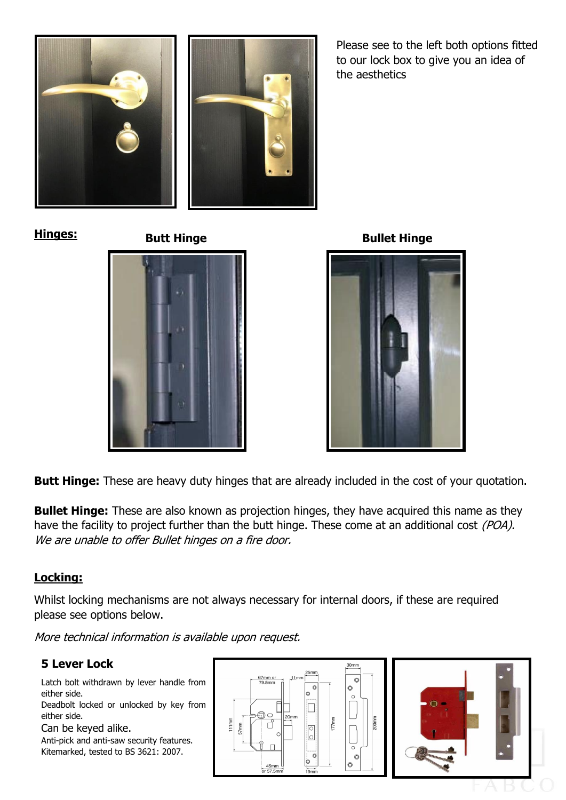

Please see to the left both options fitted to our lock box to give you an idea of the aesthetics

**Hinges:** 

**Butt Hinge Bullet Hinge**



**Butt Hinge:** These are heavy duty hinges that are already included in the cost of your quotation.

**Bullet Hinge:** These are also known as projection hinges, they have acquired this name as they have the facility to project further than the butt hinge. These come at an additional cost *(POA)*. We are unable to offer Bullet hinges on a fire door.

### **Locking:**

Whilst locking mechanisms are not always necessary for internal doors, if these are required please see options below.

More technical information is available upon request.

### **5 Lever Lock**

Latch bolt withdrawn by lever handle from either side.

Deadbolt locked or unlocked by key from either side.

Can be keyed alike.

Anti-pick and anti-saw security features. Kitemarked, tested to BS 3621: 2007.

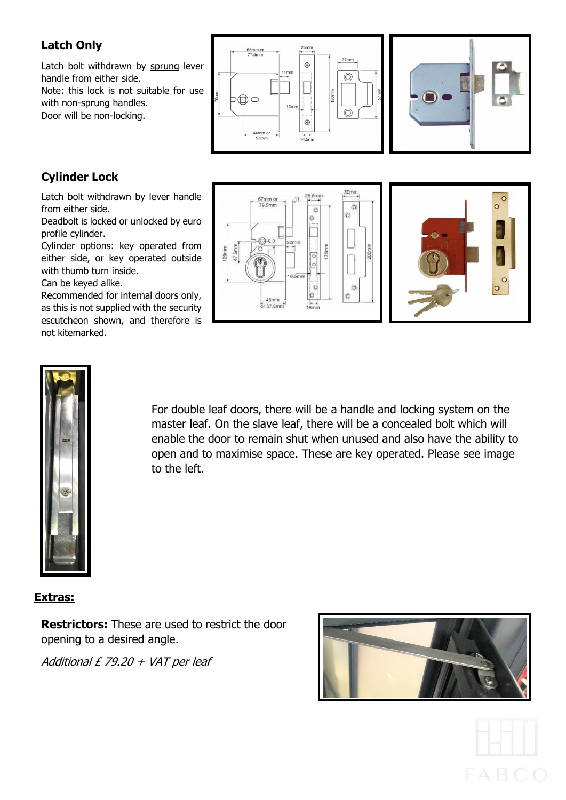### **Latch Only**

Latch bolt withdrawn by sprung lever handle from either side. Note: this lock is not suitable for use with non-sprung handles. Door will be non-locking.





## **Cylinder Lock**

Latch bolt withdrawn by lever handle from either side.

Deadbolt is locked or unlocked by euro profile cylinder.

Cylinder options: key operated from either side, or key operated outside with thumb turn inside. Can be keyed alike.

Recommended for internal doors only, as this is not supplied with the security escutcheon shown, and therefore is not kitemarked.







For double leaf doors, there will be a handle and locking system on the master leaf. On the slave leaf, there will be a concealed bolt which will enable the door to remain shut when unused and also have the ability to open and to maximise space. These are key operated. Please see image to the left.

#### **Extras:**

**Restrictors:** These are used to restrict the door opening to a desired angle.

Additional  $E$  79.20 + VAT per leaf